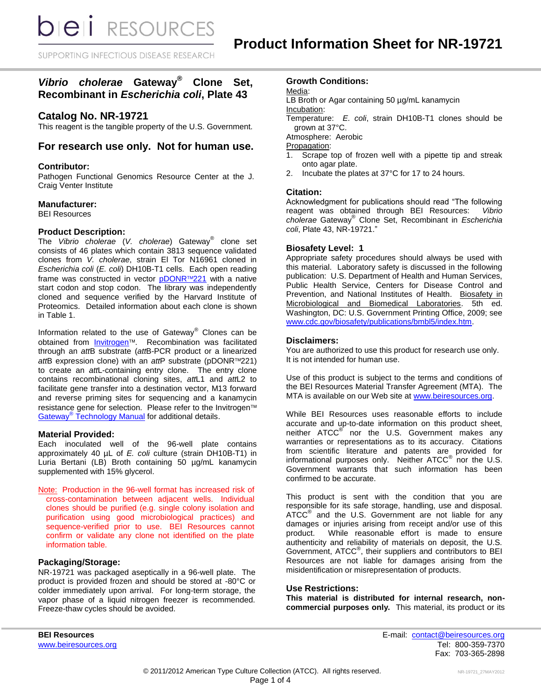**DIEII** RESOURCES

SUPPORTING INFECTIOUS DISEASE RESEARCH

## *Vibrio cholerae* **Gateway® Clone Set, Recombinant in** *Escherichia coli***, Plate 43**

### **Catalog No. NR-19721**

This reagent is the tangible property of the U.S. Government.

### **For research use only. Not for human use.**

#### **Contributor:**

Pathogen Functional Genomics Resource Center at the J. Craig Venter Institute

#### **Manufacturer:**

BEI Resources

#### **Product Description:**

The *Vibrio cholerae* (*V. cholerae*) Gateway® clone set consists of 46 plates which contain 3813 sequence validated clones from *V. cholerae*, strain El Tor N16961 cloned in *Escherichia coli* (*E. coli*) DH10B-T1 cells. Each open reading frame was constructed in vector [pDONR](http://products.invitrogen.com/ivgn/product/12536017)™221 with a native start codon and stop codon. The library was independently cloned and sequence verified by the Harvard Institute of Proteomics. Detailed information about each clone is shown in Table 1.

Information related to the use of Gateway® Clones can be obtained from **[Invitrogen](http://www.invitrogen.com/site/us/en/home/Products-and-Services/Applications/Cloning/Gateway-Cloning/GatewayC-Misc/Online-Seminars.html)™**. Recombination was facilitated through an *att*B substrate (*att*B-PCR product or a linearized *att*B expression clone) with an *att*P substrate (pDONR™221) to create an *att*L-containing entry clone. The entry clone contains recombinational cloning sites, *att*L1 and *att*L2 to facilitate gene transfer into a destination vector, M13 forward and reverse priming sites for sequencing and a kanamycin resistance gene for selection. Please refer to the Invitrogen™ Gateway<sup>®</sup> [Technology Manual](http://tools.invitrogen.com/content/sfs/manuals/gatewayman.pdf) for additional details.

#### **Material Provided:**

Each inoculated well of the 96-well plate contains approximately 40 µL of *E. coli* culture (strain DH10B-T1) in Luria Bertani (LB) Broth containing 50 µg/mL kanamycin supplemented with 15% glycerol.

Note: Production in the 96-well format has increased risk of cross-contamination between adjacent wells. Individual clones should be purified (e.g. single colony isolation and purification using good microbiological practices) and sequence-verified prior to use. BEI Resources cannot confirm or validate any clone not identified on the plate information table.

#### **Packaging/Storage:**

NR-19721 was packaged aseptically in a 96-well plate. The product is provided frozen and should be stored at -80°C or colder immediately upon arrival. For long-term storage, the vapor phase of a liquid nitrogen freezer is recommended. Freeze-thaw cycles should be avoided.

#### **Growth Conditions:**

Media:

LB Broth or Agar containing 50 µg/mL kanamycin

Incubation:

Temperature: *E. coli*, strain DH10B-T1 clones should be grown at 37°C.

Atmosphere: Aerobic

Propagation:

- 1. Scrape top of frozen well with a pipette tip and streak onto agar plate.
- 2. Incubate the plates at 37°C for 17 to 24 hours.

#### **Citation:**

Acknowledgment for publications should read "The following reagent was obtained through BEI Resources: *Vibrio cholerae* Gateway® Clone Set, Recombinant in *Escherichia coli*, Plate 43, NR-19721."

#### **Biosafety Level: 1**

Appropriate safety procedures should always be used with this material. Laboratory safety is discussed in the following publication: U.S. Department of Health and Human Services, Public Health Service, Centers for Disease Control and Prevention, and National Institutes of Health. Biosafety in Microbiological and Biomedical Laboratories. 5th ed. Washington, DC: U.S. Government Printing Office, 2009; see [www.cdc.gov/biosafety/publications/bmbl5/index.htm.](http://www.cdc.gov/biosafety/publications/bmbl5/index.htm)

#### **Disclaimers:**

You are authorized to use this product for research use only. It is not intended for human use.

Use of this product is subject to the terms and conditions of the BEI Resources Material Transfer Agreement (MTA). The MTA is available on our Web site at [www.beiresources.org.](http://www.beiresources.org/)

While BEI Resources uses reasonable efforts to include accurate and up-to-date information on this product sheet, neither ATCC<sup>®</sup> nor the U.S. Government makes any warranties or representations as to its accuracy. Citations from scientific literature and patents are provided for informational purposes only. Neither  $\tt{ATCC}^{\circledR}$  nor the U.S. Government warrants that such information has been confirmed to be accurate.

This product is sent with the condition that you are responsible for its safe storage, handling, use and disposal.  $\tt ATCC<sup>®</sup>$  and the U.S. Government are not liable for any damages or injuries arising from receipt and/or use of this product. While reasonable effort is made to ensure authenticity and reliability of materials on deposit, the U.S. Government, ATCC® , their suppliers and contributors to BEI Resources are not liable for damages arising from the misidentification or misrepresentation of products.

#### **Use Restrictions:**

**This material is distributed for internal research, noncommercial purposes only.** This material, its product or its

**BEI Resources** E-mail: [contact@beiresources.org](mailto:contact@beiresources.org) [www.beiresources.org](http://www.beiresources.org/) **Tel: 800-359-7370** Fax: 703-365-2898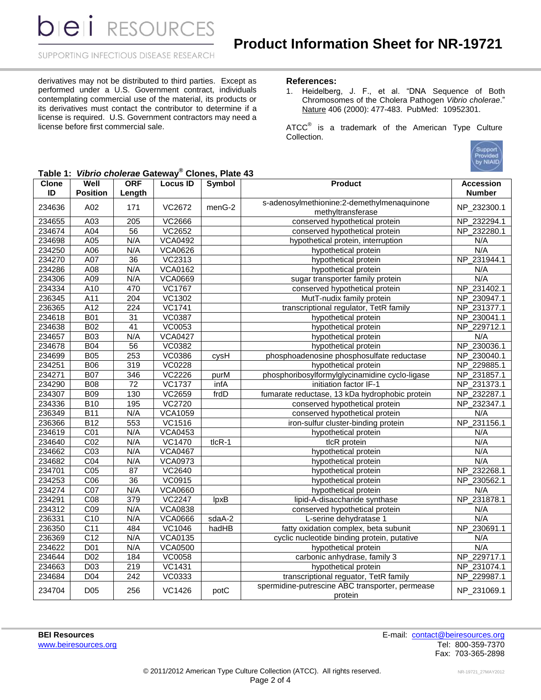**bieli** RESOURCES

SUPPORTING INFECTIOUS DISEASE RESEARCH

derivatives may not be distributed to third parties. Except as performed under a U.S. Government contract, individuals contemplating commercial use of the material, its products or its derivatives must contact the contributor to determine if a license is required. U.S. Government contractors may need a license before first commercial sale.

#### **References:**

1. Heidelberg, J. F., et al. "DNA Sequence of Both Chromosomes of the Cholera Pathogen *Vibrio cholerae*." Nature 406 (2000): 477-483. PubMed: 10952301.

ATCC $^{\circ}$  is a trademark of the American Type Culture Collection.



| Table 1: Vibrio cholerae Gateway <sup>®</sup> Clones, Plate 43 |
|----------------------------------------------------------------|
|----------------------------------------------------------------|

| <b>Clone</b><br>ID | Well<br><b>Position</b> | <b>ORF</b><br>Length | <b>Locus ID</b> | <b>Symbol</b> | <b>Product</b>                                             | <b>Accession</b><br><b>Number</b> |
|--------------------|-------------------------|----------------------|-----------------|---------------|------------------------------------------------------------|-----------------------------------|
|                    |                         |                      |                 |               | s-adenosylmethionine:2-demethylmenaquinone                 |                                   |
| 234636             | A02                     | 171                  | VC2672          | menG-2        | methyltransferase                                          | NP_232300.1                       |
| 234655             | A03                     | 205                  | VC2666          |               | conserved hypothetical protein                             | NP_232294.1                       |
| 234674             | A04                     | 56                   | <b>VC2652</b>   |               | conserved hypothetical protein                             | NP_232280.1                       |
| 234698             | A05                     | N/A                  | <b>VCA0492</b>  |               | hypothetical protein, interruption                         | N/A                               |
| 234250             | A06                     | N/A                  | <b>VCA0626</b>  |               | hypothetical protein                                       | N/A                               |
| 234270             | A07                     | $\overline{36}$      | <b>VC2313</b>   |               | hypothetical protein                                       | NP 231944.1                       |
| 234286             | A08                     | N/A                  | <b>VCA0162</b>  |               | hypothetical protein                                       | N/A                               |
| 234306             | A09                     | N/A                  | <b>VCA0669</b>  |               | sugar transporter family protein                           | N/A                               |
| 234334             | A10                     | 470                  | <b>VC1767</b>   |               | conserved hypothetical protein                             | NP 231402.1                       |
| 236345             | A11                     | 204                  | <b>VC1302</b>   |               | MutT-nudix family protein                                  | NP_230947.1                       |
| 236365             | $\overline{A12}$        | $\overline{224}$     | <b>VC1741</b>   |               | transcriptional regulator, TetR family                     | NP_231377.1                       |
| 234618             | <b>B01</b>              | $\overline{31}$      | <b>VC0387</b>   |               | hypothetical protein                                       | NP_230041.1                       |
| 234638             | B02                     | $\overline{41}$      | VC0053          |               | hypothetical protein                                       | NP_229712.1                       |
| 234657             | <b>B03</b>              | N/A                  | <b>VCA0427</b>  |               | hypothetical protein                                       | N/A                               |
| 234678             | <b>B04</b>              | $\overline{56}$      | <b>VC0382</b>   |               | hypothetical protein                                       | NP_230036.1                       |
| 234699             | <b>B05</b>              | 253                  | <b>VC0386</b>   | cysH          | phosphoadenosine phosphosulfate reductase                  | NP_230040.1                       |
| 234251             | <b>B06</b>              | 319                  | <b>VC0228</b>   |               | hypothetical protein                                       | NP_229885.1                       |
| 234271             | <b>B07</b>              | 346                  | <b>VC2226</b>   | purM          | phosphoribosylformylglycinamidine cyclo-ligase             | NP_231857.1                       |
| 234290             | <b>B08</b>              | 72                   | <b>VC1737</b>   | infA          | initiation factor IF-1                                     | NP_231373.1                       |
| 234307             | <b>B09</b>              | 130                  | VC2659          | frdD          | fumarate reductase, 13 kDa hydrophobic protein             | NP_232287.1                       |
| 234336             | <b>B10</b>              | 195                  | <b>VC2720</b>   |               | conserved hypothetical protein                             | NP_232347.1                       |
| 236349             | <b>B11</b>              | N/A                  | <b>VCA1059</b>  |               | conserved hypothetical protein                             | N/A                               |
| 236366             | <b>B12</b>              | 553                  | <b>VC1516</b>   |               | iron-sulfur cluster-binding protein                        | NP_231156.1                       |
| 234619             | CO1                     | N/A                  | <b>VCA0453</b>  |               | hypothetical protein                                       | N/A                               |
| 234640             | CO <sub>2</sub>         | N/A                  | <b>VC1470</b>   | $tlcR-1$      | tlcR protein                                               | N/A                               |
| 234662             | C <sub>03</sub>         | N/A                  | <b>VCA0467</b>  |               | hypothetical protein                                       | N/A                               |
| 234682             | $\overline{CO4}$        | N/A                  | <b>VCA0973</b>  |               | hypothetical protein                                       | N/A                               |
| 234701             | CO <sub>5</sub>         | $\overline{87}$      | <b>VC2640</b>   |               | hypothetical protein                                       | NP 232268.1                       |
| 234253             | $\overline{CO6}$        | $\overline{36}$      | VC0915          |               | hypothetical protein                                       | NP_230562.1                       |
| 234274             | CO <sub>7</sub>         | N/A                  | <b>VCA0660</b>  |               | hypothetical protein                                       | N/A                               |
| 234291             | $\overline{CO8}$        | 379                  | <b>VC2247</b>   | lpxB          | lipid-A-disaccharide synthase                              | NP_231878.1                       |
| 234312             | $\overline{CO9}$        | N/A                  | <b>VCA0838</b>  |               | conserved hypothetical protein                             | N/A                               |
| 236331             | C10                     | N/A                  | <b>VCA0666</b>  | sdaA-2        | L-serine dehydratase 1                                     | N/A                               |
| 236350             | C <sub>11</sub>         | 484                  | VC1046          | hadHB         | fatty oxidation complex, beta subunit                      | NP_230691.1                       |
| 236369             | C <sub>12</sub>         | N/A                  | <b>VCA0135</b>  |               | cyclic nucleotide binding protein, putative                | N/A                               |
| 234622             | D <sub>01</sub>         | N/A                  | <b>VCA0500</b>  |               | hypothetical protein                                       | N/A                               |
| 234644             | D <sub>02</sub>         | 184                  | <b>VC0058</b>   |               | carbonic anhydrase, family 3                               | NP_229717.1                       |
| 234663             | D <sub>03</sub>         | 219                  | <b>VC1431</b>   |               | hypothetical protein                                       | NP_231074.1                       |
| 234684             | $\overline{D04}$        | 242                  | VC0333          |               | transcriptional reguator, TetR family                      | NP_229987.1                       |
| 234704             | D <sub>05</sub>         | 256                  | <b>VC1426</b>   | potC          | spermidine-putrescine ABC transporter, permease<br>protein | NP_231069.1                       |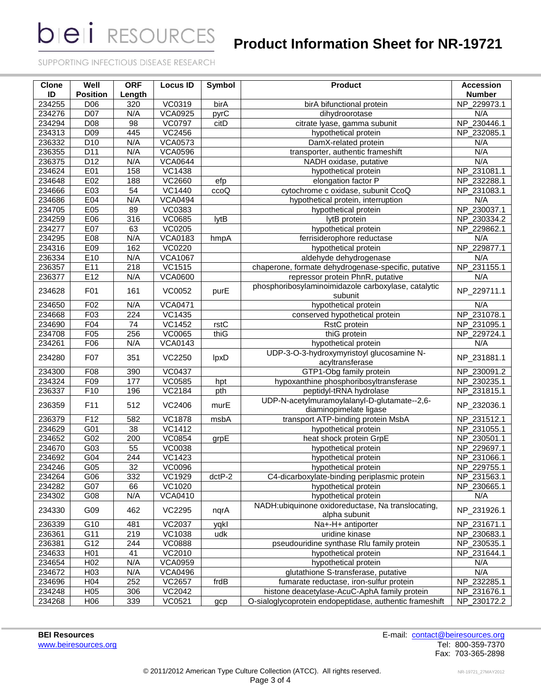**bieli** RESOURCES

# **Product Information Sheet for NR-19721**

SUPPORTING INFECTIOUS DISEASE RESEARCH

| <b>Clone</b><br>ID | Well<br><b>Position</b>     | <b>ORF</b><br>Length | <b>Locus ID</b> | Symbol   | Product                                                                | <b>Accession</b><br><b>Number</b> |
|--------------------|-----------------------------|----------------------|-----------------|----------|------------------------------------------------------------------------|-----------------------------------|
| 234255             | D06                         | 320                  | VC0319          | birA     | birA bifunctional protein                                              | NP_229973.1                       |
| 234276             | $\overline{D07}$            | N/A                  | <b>VCA0925</b>  | pyrC     | dihydroorotase                                                         | N/A                               |
| 234294             | D <sub>08</sub>             | 98                   | <b>VC0797</b>   | citD     | citrate lyase, gamma subunit                                           | NP_230446.1                       |
| 234313             | D <sub>09</sub>             | 445                  | VC2456          |          | hypothetical protein                                                   | NP_232085.1                       |
| 236332             | D <sub>10</sub>             | N/A                  | <b>VCA0573</b>  |          | DamX-related protein                                                   | N/A                               |
| 236355             | D11                         | N/A                  | <b>VCA0596</b>  |          | transporter, authentic frameshift                                      | N/A                               |
| 236375             | $\overline{D12}$            | N/A                  | <b>VCA0644</b>  |          | NADH oxidase, putative                                                 | N/A                               |
| 234624             | E01                         | 158                  | <b>VC1438</b>   |          | hypothetical protein                                                   | NP_231081.1                       |
| 234648             | E02                         | 188                  | <b>VC2660</b>   | efp      | elongation factor P                                                    | NP 232288.1                       |
| 234666             | E03                         | 54                   | VC1440          | ccoQ     | cytochrome c oxidase, subunit CcoQ                                     | NP_231083.1                       |
| 234686             | E04                         | N/A                  | <b>VCA0494</b>  |          | hypothetical protein, interruption                                     | N/A                               |
| 234705             | E05                         | 89                   | <b>VC0383</b>   |          | hypothetical protein                                                   | NP_230037.1                       |
| 234259             | E06                         | 316                  | <b>VC0685</b>   | lytB     | lytB protein                                                           | NP_230334.2                       |
| 234277             | E07                         | 63                   | <b>VC0205</b>   |          | hypothetical protein                                                   | NP_229862.1                       |
| 234295             | E08                         | N/A                  | <b>VCA0183</b>  | hmpA     | ferrisiderophore reductase                                             | N/A                               |
| 234316             | E09                         | 162                  | VC0220          |          | hypothetical protein                                                   | NP_229877.1                       |
| 236334             | E10                         | N/A                  | <b>VCA1067</b>  |          | aldehyde dehydrogenase                                                 | N/A                               |
| 236357             | E11                         | 218                  | <b>VC1515</b>   |          | chaperone, formate dehydrogenase-specific, putative                    | NP_231155.1                       |
| 236377             | E12                         | N/A                  | <b>VCA0600</b>  |          | repressor protein PhnR, putative                                       | N/A                               |
| 234628             | F01                         | 161                  | VC0052          | purE     | phosphoribosylaminoimidazole carboxylase, catalytic                    | NP_229711.1                       |
|                    |                             |                      |                 |          | subunit                                                                |                                   |
| 234650             | F <sub>02</sub>             | N/A                  | <b>VCA0471</b>  |          | hypothetical protein                                                   | N/A                               |
| 234668             | F03                         | 224                  | <b>VC1435</b>   |          | conserved hypothetical protein                                         | NP_231078.1                       |
| 234690             | F04                         | 74                   | <b>VC1452</b>   | rstC     | RstC protein                                                           | NP_231095.1                       |
| 234708             | F05                         | 256                  | VC0065          | thiG     | thiG protein                                                           | NP_229724.1                       |
| 234261             | F06                         | N/A                  | <b>VCA0143</b>  |          | hypothetical protein                                                   | N/A                               |
| 234280             | F07                         | 351                  | VC2250          | IpxD     | UDP-3-O-3-hydroxymyristoyl glucosamine N-<br>acyltransferase           | NP_231881.1                       |
| 234300             | F08                         | 390                  | <b>VC0437</b>   |          | GTP1-Obg family protein                                                | NP_230091.2                       |
| 234324             | F09                         | 177                  | <b>VC0585</b>   | hpt      | hypoxanthine phosphoribosyltransferase                                 | NP_230235.1                       |
| 236337             | F10                         | 196                  | VC2184          | pth      | peptidyl-tRNA hydrolase                                                | NP_231815.1                       |
| 236359             | F11                         | 512                  | VC2406          | murE     | UDP-N-acetylmuramoylalanyl-D-glutamate--2,6-<br>diaminopimelate ligase | NP_232036.1                       |
| 236379             | F12                         | 582                  | <b>VC1878</b>   | msbA     | transport ATP-binding protein MsbA                                     | NP_231512.1                       |
| 234629             | G01                         | 38                   | <b>VC1412</b>   |          | hypothetical protein                                                   | NP_231055.1                       |
| 234652             | G02                         | 200                  | VC0854          | grpE     | heat shock protein GrpE                                                | NP_230501.1                       |
| 234670             | G03                         | 55                   | VC0038          |          | hypothetical protein                                                   | NP_229697.1                       |
| 234692             | G04                         | 244                  | <b>VC1423</b>   |          | hypothetical protein                                                   | NP_231066.1                       |
| 234246             | G05                         | 32                   | VC0096          |          | hypothetical protein                                                   | NP_229755.1                       |
| 234264             | G06                         | 332                  | VC1929          | $dctP-2$ | C4-dicarboxylate-binding periplasmic protein                           | NP_231563.1                       |
| 234282             | G07                         | 66                   | VC1020          |          | hypothetical protein                                                   | NP_230665.1                       |
| 234302             | G08                         | N/A                  | <b>VCA0410</b>  |          | hypothetical protein                                                   | N/A                               |
| 234330             | G09                         | 462                  | <b>VC2295</b>   | nqrA     | NADH:ubiquinone oxidoreductase, Na translocating,<br>alpha subunit     | NP_231926.1                       |
| 236339             | G10                         | 481                  | VC2037          | yqkl     | Na+-H+ antiporter                                                      | NP_231671.1                       |
| 236361             | G11                         | 219                  | VC1038          | udk      | uridine kinase                                                         | NP_230683.1                       |
| 236381             | G12                         | 244                  | <b>VC0888</b>   |          | pseudouridine synthase Rlu family protein                              | NP_230535.1                       |
| 234633             | H <sub>01</sub>             | 41                   | VC2010          |          | hypothetical protein                                                   | NP_231644.1                       |
| 234654             | H <sub>02</sub>             | N/A                  | <b>VCA0959</b>  |          | hypothetical protein                                                   | N/A                               |
| 234672             | H03                         | N/A                  | <b>VCA0496</b>  |          | glutathione S-transferase, putative                                    | N/A                               |
| 234696             | H04                         | 252                  | VC2657          | frdB     | fumarate reductase, iron-sulfur protein                                | NP_232285.1                       |
| 234248             | H <sub>05</sub>             | 306                  | VC2042          |          | histone deacetylase-AcuC-AphA family protein                           | NP_231676.1                       |
| 234268             | H <sub>0</sub> <sup>6</sup> | 339                  | VC0521          | gcp      | O-sialoglycoprotein endopeptidase, authentic frameshift                | NP_230172.2                       |

[www.beiresources.org](http://www.beiresources.org/)

**BEI Resources**<br>
Working the E-mail: [contact@beiresources.org](mailto:contact@beiresources.org)<br>
Working the E-mail: contact@beiresources.org<br>
Tel: 800-359-7370 Fax: 703-365-2898